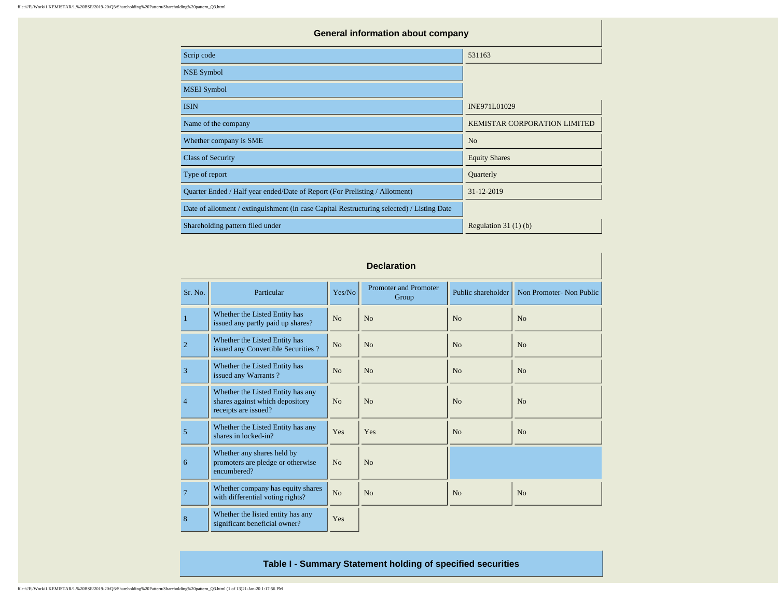| <b>General information about company</b>                                                   |                                     |  |  |  |  |  |  |  |  |
|--------------------------------------------------------------------------------------------|-------------------------------------|--|--|--|--|--|--|--|--|
| Scrip code                                                                                 | 531163                              |  |  |  |  |  |  |  |  |
| <b>NSE</b> Symbol                                                                          |                                     |  |  |  |  |  |  |  |  |
| <b>MSEI</b> Symbol                                                                         |                                     |  |  |  |  |  |  |  |  |
| <b>ISIN</b>                                                                                | INE971L01029                        |  |  |  |  |  |  |  |  |
| Name of the company                                                                        | <b>KEMISTAR CORPORATION LIMITED</b> |  |  |  |  |  |  |  |  |
| Whether company is SME                                                                     | N <sub>o</sub>                      |  |  |  |  |  |  |  |  |
| <b>Class of Security</b>                                                                   | <b>Equity Shares</b>                |  |  |  |  |  |  |  |  |
| Type of report                                                                             | Quarterly                           |  |  |  |  |  |  |  |  |
| Quarter Ended / Half year ended/Date of Report (For Prelisting / Allotment)                | 31-12-2019                          |  |  |  |  |  |  |  |  |
| Date of allotment / extinguishment (in case Capital Restructuring selected) / Listing Date |                                     |  |  |  |  |  |  |  |  |
| Shareholding pattern filed under                                                           | Regulation $31(1)(b)$               |  |  |  |  |  |  |  |  |

| <b>Declaration</b> |                                                                                              |                |                                       |                    |                          |  |  |  |  |  |  |
|--------------------|----------------------------------------------------------------------------------------------|----------------|---------------------------------------|--------------------|--------------------------|--|--|--|--|--|--|
| Sr. No.            | Particular                                                                                   | Yes/No         | <b>Promoter and Promoter</b><br>Group | Public shareholder | Non Promoter- Non Public |  |  |  |  |  |  |
| $\mathbf{1}$       | Whether the Listed Entity has<br>issued any partly paid up shares?                           | No             | No                                    | No                 | No                       |  |  |  |  |  |  |
| $\overline{2}$     | Whether the Listed Entity has<br>issued any Convertible Securities?                          | N <sub>o</sub> | N <sub>o</sub>                        | N <sub>o</sub>     | N <sub>o</sub>           |  |  |  |  |  |  |
| 3                  | Whether the Listed Entity has<br>issued any Warrants?                                        | N <sub>o</sub> | N <sub>o</sub>                        | N <sub>o</sub>     | N <sub>o</sub>           |  |  |  |  |  |  |
| $\overline{4}$     | Whether the Listed Entity has any<br>shares against which depository<br>receipts are issued? | No             | N <sub>0</sub>                        | N <sub>o</sub>     | N <sub>o</sub>           |  |  |  |  |  |  |
| 5                  | Whether the Listed Entity has any<br>shares in locked-in?                                    | Yes            | Yes                                   | No                 | N <sub>o</sub>           |  |  |  |  |  |  |
| 6                  | Whether any shares held by<br>promoters are pledge or otherwise<br>encumbered?               | No             | No                                    |                    |                          |  |  |  |  |  |  |
| $\overline{7}$     | Whether company has equity shares<br>with differential voting rights?                        | N <sub>o</sub> | No                                    | N <sub>o</sub>     | N <sub>o</sub>           |  |  |  |  |  |  |
| 8                  | Whether the listed entity has any<br>significant beneficial owner?                           | Yes            |                                       |                    |                          |  |  |  |  |  |  |

**Table I - Summary Statement holding of specified securities**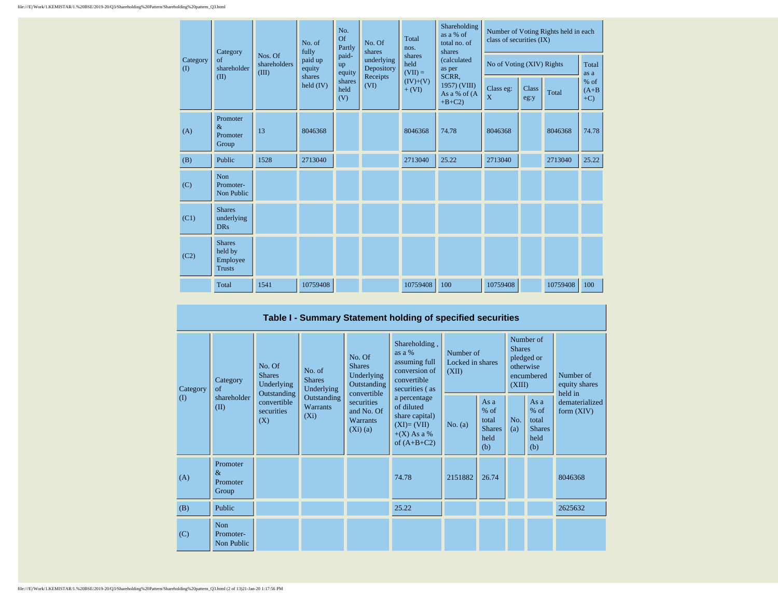|                 | Category<br>Nos. Of                                   |                       | No. of<br>fully       | No.<br>Of<br>Partly   | No. Of<br>shares<br>paid- | Total<br>nos.               | Shareholding<br>as a % of<br>total no. of<br>shares | Number of Voting Rights held in each<br>class of securities (IX) |                      |          |                         |
|-----------------|-------------------------------------------------------|-----------------------|-----------------------|-----------------------|---------------------------|-----------------------------|-----------------------------------------------------|------------------------------------------------------------------|----------------------|----------|-------------------------|
| Category<br>(1) | $\sigma$ f<br>shareholder                             | shareholders<br>(III) | paid up<br>equity     | <b>up</b><br>equity   | underlying<br>Depository  | shares<br>held<br>$(VII) =$ | (calculated<br>as per                               | No of Voting (XIV) Rights                                        |                      |          | Total<br>as a           |
|                 | (II)                                                  |                       | shares<br>held $(IV)$ | shares<br>held<br>(V) | Receipts<br>(VI)          | $(IV)+(V)$<br>$+ (VI)$      | SCRR,<br>1957) (VIII)<br>As a % of (A<br>$+B+C2$    | Class eg:<br>X                                                   | <b>Class</b><br>eg:y | Total    | % of<br>$(A+B)$<br>$+C$ |
| (A)             | Promoter<br>$\&$<br>Promoter<br>Group                 | 13                    | 8046368               |                       |                           | 8046368                     | 74.78                                               | 8046368                                                          |                      | 8046368  | 74.78                   |
| (B)             | Public                                                | 1528                  | 2713040               |                       |                           | 2713040                     | 25.22                                               | 2713040                                                          |                      | 2713040  | 25.22                   |
| (C)             | Non<br>Promoter-<br>Non Public                        |                       |                       |                       |                           |                             |                                                     |                                                                  |                      |          |                         |
| (C1)            | <b>Shares</b><br>underlying<br><b>DRs</b>             |                       |                       |                       |                           |                             |                                                     |                                                                  |                      |          |                         |
| (C2)            | <b>Shares</b><br>held by<br>Employee<br><b>Trusts</b> |                       |                       |                       |                           |                             |                                                     |                                                                  |                      |          |                         |
|                 | Total                                                 | 1541                  | 10759408              |                       |                           | 10759408                    | 100                                                 | 10759408                                                         |                      | 10759408 | 100                     |

## **Table I - Summary Statement holding of specified securities**

| Category                   | No. Of<br><b>Shares</b><br>Category<br>Underlying<br>$\sigma$<br>Outstanding |                                  | No. of<br><b>Shares</b><br>Underlying                                                                              | No. Of<br><b>Shares</b><br>Underlying<br>Outstanding | Shareholding,<br>as a %<br>assuming full<br>conversion of<br>convertible<br>securities (as     | Number of<br>Locked in shares<br>(XII) |                                                         | Number of<br><b>Shares</b><br>pledged or<br>otherwise<br>encumbered<br>(XIII) |                                                         | Number of<br>equity shares<br>held in |  |
|----------------------------|------------------------------------------------------------------------------|----------------------------------|--------------------------------------------------------------------------------------------------------------------|------------------------------------------------------|------------------------------------------------------------------------------------------------|----------------------------------------|---------------------------------------------------------|-------------------------------------------------------------------------------|---------------------------------------------------------|---------------------------------------|--|
| $\left( \mathrm{I}\right)$ | shareholder<br>(II)                                                          | convertible<br>securities<br>(X) | convertible<br>Outstanding<br>securities<br><b>Warrants</b><br>and No. Of<br>$(X_i)$<br><b>Warrants</b><br>(Xi)(a) |                                                      | a percentage<br>of diluted<br>share capital)<br>$(XI)=(VII)$<br>$+(X)$ As a %<br>of $(A+B+C2)$ | No. $(a)$                              | As a<br>$%$ of<br>total<br><b>Shares</b><br>held<br>(b) | No.<br>(a)                                                                    | As a<br>$%$ of<br>total<br><b>Shares</b><br>held<br>(b) | dematerialized<br>form $(XIV)$        |  |
| (A)                        | Promoter<br>$\&$<br>Promoter<br>Group                                        |                                  |                                                                                                                    |                                                      | 74.78                                                                                          | 2151882                                | 26.74                                                   |                                                                               |                                                         | 8046368                               |  |
| (B)                        | Public                                                                       |                                  |                                                                                                                    |                                                      | 25.22                                                                                          |                                        |                                                         |                                                                               |                                                         | 2625632                               |  |
| (C)                        | <b>Non</b><br>Promoter-<br>Non Public                                        |                                  |                                                                                                                    |                                                      |                                                                                                |                                        |                                                         |                                                                               |                                                         |                                       |  |

file:///E|/Work/1.KEMISTAR/1.%20BSE/2019-20/Q3/Shareholding%20Pattern/Shareholding%20pattern\_Q3.html (2 of 13)21-Jan-20 1:17:56 PM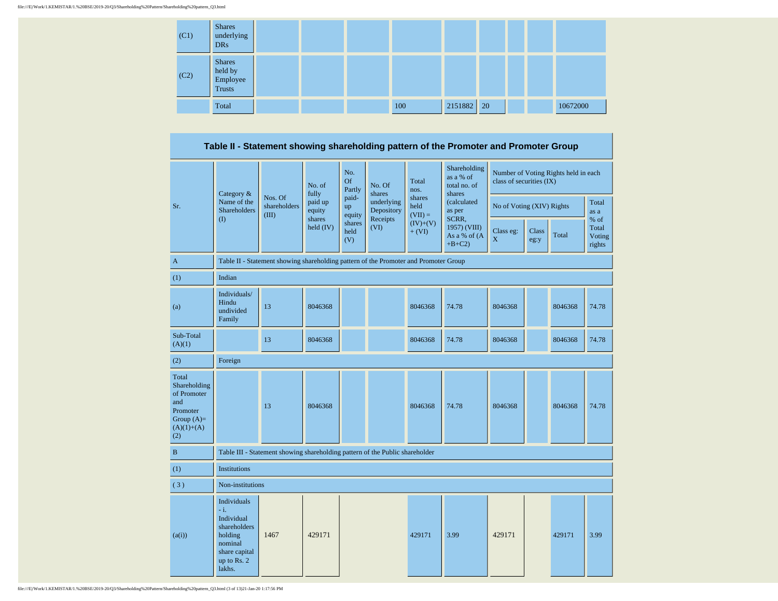| (C1) | <b>Shares</b><br>underlying<br><b>DRs</b>             |  |     |         |               |  |          |
|------|-------------------------------------------------------|--|-----|---------|---------------|--|----------|
| (C2) | <b>Shares</b><br>held by<br>Employee<br><b>Trusts</b> |  |     |         |               |  |          |
|      | Total                                                 |  | 100 | 2151882 | <sup>20</sup> |  | 10672000 |

**Table II - Statement showing shareholding pattern of the Promoter and Promoter Group**

|                                                                                                | Category &                                                                                                          |                                                                                      | No. of<br>fully       | No.<br><b>Of</b><br>Partly | No. Of<br>shares         | Total<br>nos.               | Shareholding<br>as a % of<br>total no. of<br>shares | class of securities (IX)  |               | Number of Voting Rights held in each |                                   |
|------------------------------------------------------------------------------------------------|---------------------------------------------------------------------------------------------------------------------|--------------------------------------------------------------------------------------|-----------------------|----------------------------|--------------------------|-----------------------------|-----------------------------------------------------|---------------------------|---------------|--------------------------------------|-----------------------------------|
| Sr.                                                                                            | Name of the<br><b>Shareholders</b>                                                                                  | Nos. Of<br>shareholders<br>(III)                                                     | paid up<br>equity     | paid-<br>up<br>equity      | underlying<br>Depository | shares<br>held<br>$(VII) =$ | (calculated<br>as per                               | No of Voting (XIV) Rights |               |                                      | Total<br>as a                     |
|                                                                                                | (1)                                                                                                                 |                                                                                      | shares<br>held $(IV)$ | shares<br>held<br>(V)      | Receipts<br>(VI)         | $(IV)+(V)$<br>$+ (VI)$      | SCRR.<br>1957) (VIII)<br>As a % of (A<br>$+B+C2$    | Class eg:<br>X            | Class<br>eg:y | Total                                | % of<br>Total<br>Voting<br>rights |
| $\mathbf{A}$                                                                                   |                                                                                                                     | Table II - Statement showing shareholding pattern of the Promoter and Promoter Group |                       |                            |                          |                             |                                                     |                           |               |                                      |                                   |
| (1)                                                                                            | Indian                                                                                                              |                                                                                      |                       |                            |                          |                             |                                                     |                           |               |                                      |                                   |
| (a)                                                                                            | Individuals/<br>Hindu<br>undivided<br>Family                                                                        | 13                                                                                   | 8046368               |                            |                          | 8046368                     | 74.78                                               | 8046368                   |               | 8046368                              | 74.78                             |
| Sub-Total<br>(A)(1)                                                                            |                                                                                                                     | 13                                                                                   | 8046368               |                            |                          | 8046368                     | 74.78                                               | 8046368                   |               | 8046368                              | 74.78                             |
| (2)                                                                                            | Foreign                                                                                                             |                                                                                      |                       |                            |                          |                             |                                                     |                           |               |                                      |                                   |
| Total<br>Shareholding<br>of Promoter<br>and<br>Promoter<br>Group $(A)=$<br>$(A)(1)+(A)$<br>(2) |                                                                                                                     | 13                                                                                   | 8046368               |                            |                          | 8046368                     | 74.78                                               | 8046368                   |               | 8046368                              | 74.78                             |
| $\, {\bf B}$                                                                                   |                                                                                                                     | Table III - Statement showing shareholding pattern of the Public shareholder         |                       |                            |                          |                             |                                                     |                           |               |                                      |                                   |
| (1)                                                                                            | <b>Institutions</b>                                                                                                 |                                                                                      |                       |                            |                          |                             |                                                     |                           |               |                                      |                                   |
| (3)                                                                                            | Non-institutions                                                                                                    |                                                                                      |                       |                            |                          |                             |                                                     |                           |               |                                      |                                   |
| (a(i))                                                                                         | Individuals<br>$-i$ .<br>Individual<br>shareholders<br>holding<br>nominal<br>share capital<br>up to Rs. 2<br>lakhs. | 1467                                                                                 | 429171                |                            |                          | 429171                      | 3.99                                                | 429171                    |               | 429171                               | 3.99                              |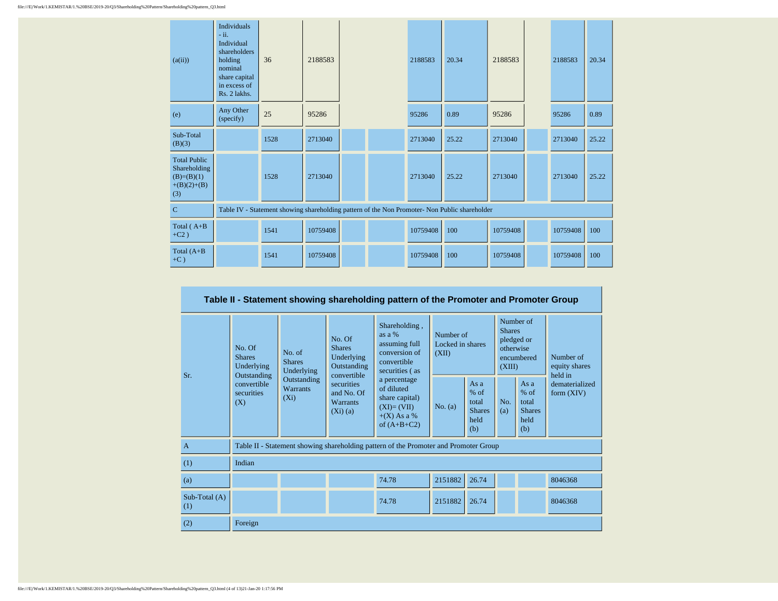| (a(ii))                                                                     | <b>Individuals</b><br>$-ii.$<br>Individual<br>shareholders<br>holding<br>nominal<br>share capital<br>in excess of<br>Rs. 2 lakhs. | 36   | 2188583  |  | 2188583  | 20.34                                                                                         | 2188583  | 2188583  | 20.34 |
|-----------------------------------------------------------------------------|-----------------------------------------------------------------------------------------------------------------------------------|------|----------|--|----------|-----------------------------------------------------------------------------------------------|----------|----------|-------|
| (e)                                                                         | Any Other<br>(specify)                                                                                                            | 25   | 95286    |  | 95286    | 0.89                                                                                          | 95286    | 95286    | 0.89  |
| Sub-Total<br>(B)(3)                                                         |                                                                                                                                   | 1528 | 2713040  |  | 2713040  | 25.22                                                                                         | 2713040  | 2713040  | 25.22 |
| <b>Total Public</b><br>Shareholding<br>$(B)=(B)(1)$<br>$+(B)(2)+(B)$<br>(3) |                                                                                                                                   | 1528 | 2713040  |  | 2713040  | 25.22                                                                                         | 2713040  | 2713040  | 25.22 |
| $\mathbf C$                                                                 |                                                                                                                                   |      |          |  |          | Table IV - Statement showing shareholding pattern of the Non Promoter- Non Public shareholder |          |          |       |
| Total $(A+B)$<br>$+C2)$                                                     |                                                                                                                                   | 1541 | 10759408 |  | 10759408 | 100                                                                                           | 10759408 | 10759408 | 100   |
| Total $(A+B)$<br>$+C$ )                                                     |                                                                                                                                   | 1541 | 10759408 |  | 10759408 | 100                                                                                           | 10759408 | 10759408 | 100   |

| Table II - Statement showing shareholding pattern of the Promoter and Promoter Group |                                                                                               |                                           |                                                                     |                                                                                                |                                        |                                                           |                                                                               |                                                           |                                       |  |  |
|--------------------------------------------------------------------------------------|-----------------------------------------------------------------------------------------------|-------------------------------------------|---------------------------------------------------------------------|------------------------------------------------------------------------------------------------|----------------------------------------|-----------------------------------------------------------|-------------------------------------------------------------------------------|-----------------------------------------------------------|---------------------------------------|--|--|
| Sr.                                                                                  | No. Of<br>No. of<br><b>Shares</b><br><b>Shares</b><br>Underlying<br>Underlying<br>Outstanding |                                           | No. Of<br><b>Shares</b><br>Underlying<br>Outstanding<br>convertible | Shareholding,<br>as a $%$<br>assuming full<br>conversion of<br>convertible<br>securities (as   | Number of<br>Locked in shares<br>(XII) |                                                           | Number of<br><b>Shares</b><br>pledged or<br>otherwise<br>encumbered<br>(XIII) |                                                           | Number of<br>equity shares<br>held in |  |  |
|                                                                                      | convertible<br>securities<br>(X)                                                              | Outstanding<br><b>Warrants</b><br>$(X_i)$ | securities<br>and No. Of<br><b>Warrants</b><br>(Xi)(a)              | a percentage<br>of diluted<br>share capital)<br>$(XI)=(VII)$<br>$+(X)$ As a %<br>of $(A+B+C2)$ | No. (a)                                | As $a$<br>$%$ of<br>total<br><b>Shares</b><br>held<br>(b) | No.<br>(a)                                                                    | As $a$<br>$%$ of<br>total<br><b>Shares</b><br>held<br>(b) | dematerialized<br>form $(XIV)$        |  |  |
| $\overline{A}$                                                                       |                                                                                               |                                           |                                                                     | Table II - Statement showing shareholding pattern of the Promoter and Promoter Group           |                                        |                                                           |                                                                               |                                                           |                                       |  |  |
| (1)                                                                                  | Indian                                                                                        |                                           |                                                                     |                                                                                                |                                        |                                                           |                                                                               |                                                           |                                       |  |  |
| (a)                                                                                  |                                                                                               |                                           |                                                                     | 74.78                                                                                          | 2151882                                | 26.74                                                     |                                                                               |                                                           | 8046368                               |  |  |
| Sub-Total (A)<br>(1)                                                                 |                                                                                               |                                           |                                                                     | 74.78                                                                                          | 2151882                                | 26.74                                                     |                                                                               |                                                           | 8046368                               |  |  |
| (2)                                                                                  | Foreign                                                                                       |                                           |                                                                     |                                                                                                |                                        |                                                           |                                                                               |                                                           |                                       |  |  |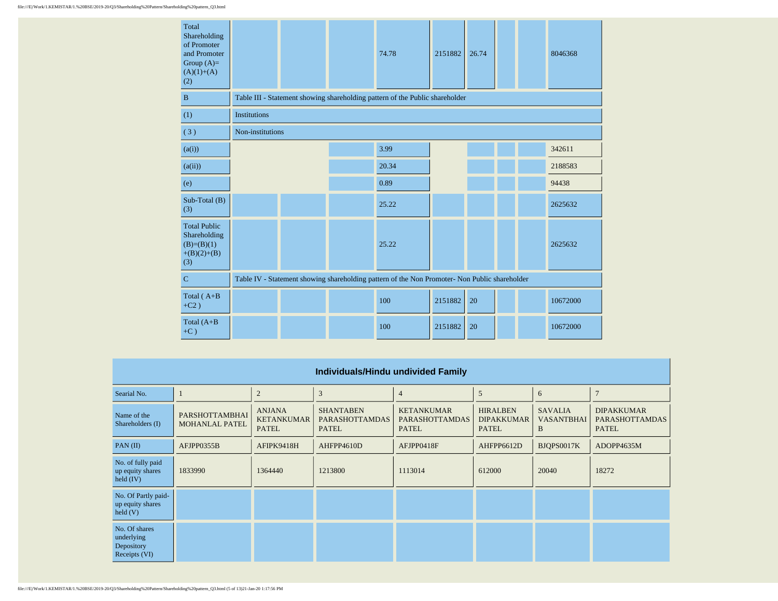| Total<br>Shareholding<br>of Promoter<br>and Promoter<br>Group $(A)=$<br>$(A)(1)+(A)$<br>(2) |                                                                                               |  |  | 74.78                                                                        | 2151882 | 26.74 |  |  | 8046368  |  |
|---------------------------------------------------------------------------------------------|-----------------------------------------------------------------------------------------------|--|--|------------------------------------------------------------------------------|---------|-------|--|--|----------|--|
| $\, {\bf B}$                                                                                |                                                                                               |  |  | Table III - Statement showing shareholding pattern of the Public shareholder |         |       |  |  |          |  |
| (1)                                                                                         | <b>Institutions</b>                                                                           |  |  |                                                                              |         |       |  |  |          |  |
| (3)                                                                                         | Non-institutions                                                                              |  |  |                                                                              |         |       |  |  |          |  |
| (a(i))                                                                                      |                                                                                               |  |  | 3.99                                                                         |         |       |  |  | 342611   |  |
| (a(ii))                                                                                     |                                                                                               |  |  | 20.34                                                                        |         |       |  |  | 2188583  |  |
| (e)                                                                                         |                                                                                               |  |  | 0.89                                                                         |         |       |  |  | 94438    |  |
| Sub-Total (B)<br>(3)                                                                        |                                                                                               |  |  | 25.22                                                                        |         |       |  |  | 2625632  |  |
| <b>Total Public</b><br>Shareholding<br>$(B)=(B)(1)$<br>$+(B)(2)+(B)$<br>(3)                 |                                                                                               |  |  | 25.22                                                                        |         |       |  |  | 2625632  |  |
| $\mathbf C$                                                                                 | Table IV - Statement showing shareholding pattern of the Non Promoter- Non Public shareholder |  |  |                                                                              |         |       |  |  |          |  |
| Total (A+B<br>$+C2$ )                                                                       |                                                                                               |  |  | 100                                                                          | 2151882 | 20    |  |  | 10672000 |  |
| Total $(A+B)$<br>$+C$ )                                                                     |                                                                                               |  |  | 100                                                                          | 2151882 | 20    |  |  | 10672000 |  |

| Individuals/Hindu undivided Family                          |                                                |                                                    |                                                           |                                                            |                                                      |                                          |                                                            |  |  |  |  |  |
|-------------------------------------------------------------|------------------------------------------------|----------------------------------------------------|-----------------------------------------------------------|------------------------------------------------------------|------------------------------------------------------|------------------------------------------|------------------------------------------------------------|--|--|--|--|--|
| Searial No.                                                 |                                                | $\overline{2}$                                     | 3                                                         | $\overline{4}$                                             | 5                                                    | 6                                        | $\overline{7}$                                             |  |  |  |  |  |
| Name of the<br>Shareholders (I)                             | <b>PARSHOTTAMBHAI</b><br><b>MOHANLAL PATEL</b> | <b>ANJANA</b><br><b>KETANKUMAR</b><br><b>PATEL</b> | <b>SHANTABEN</b><br><b>PARASHOTTAMDAS</b><br><b>PATEL</b> | <b>KETANKUMAR</b><br><b>PARASHOTTAMDAS</b><br><b>PATEL</b> | <b>HIRALBEN</b><br><b>DIPAKKUMAR</b><br><b>PATEL</b> | <b>SAVALIA</b><br><b>VASANTBHAI</b><br>B | <b>DIPAKKUMAR</b><br><b>PARASHOTTAMDAS</b><br><b>PATEL</b> |  |  |  |  |  |
| PAN(II)                                                     | AFJPP0355B                                     | AFIPK9418H                                         | AHFPP4610D                                                | AFJPP0418F                                                 | AHFPP6612D                                           | BJOPS0017K                               | ADOPP4635M                                                 |  |  |  |  |  |
| No. of fully paid<br>up equity shares<br>held $(IV)$        | 1833990                                        | 1364440                                            | 1213800                                                   | 1113014                                                    | 612000                                               | 20040                                    | 18272                                                      |  |  |  |  |  |
| No. Of Partly paid-<br>up equity shares<br>$\text{held}(V)$ |                                                |                                                    |                                                           |                                                            |                                                      |                                          |                                                            |  |  |  |  |  |
| No. Of shares<br>underlying<br>Depository<br>Receipts (VI)  |                                                |                                                    |                                                           |                                                            |                                                      |                                          |                                                            |  |  |  |  |  |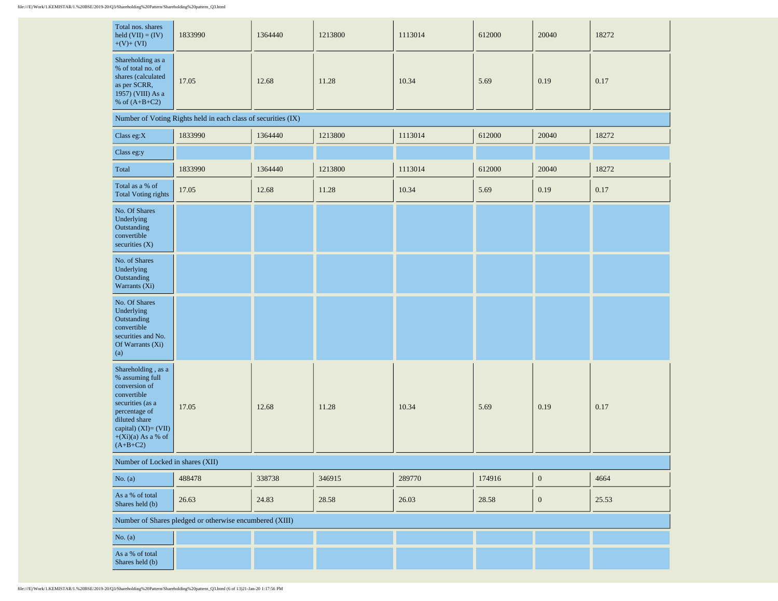| Total nos. shares<br>held $(VII) = (IV)$<br>$+(V)+(VI)$                                                                                                                                    | 1833990                                                       | 1364440 | 1213800 | 1113014 | 612000 | 20040            | 18272 |
|--------------------------------------------------------------------------------------------------------------------------------------------------------------------------------------------|---------------------------------------------------------------|---------|---------|---------|--------|------------------|-------|
| Shareholding as a<br>% of total no. of<br>shares (calculated<br>as per SCRR,<br>1957) (VIII) As a<br>% of $(A+B+C2)$                                                                       | 17.05                                                         | 12.68   | 11.28   | 10.34   | 5.69   | 0.19             | 0.17  |
|                                                                                                                                                                                            | Number of Voting Rights held in each class of securities (IX) |         |         |         |        |                  |       |
| Class eg: $X$                                                                                                                                                                              | 1833990                                                       | 1364440 | 1213800 | 1113014 | 612000 | 20040            | 18272 |
| Class eg:y                                                                                                                                                                                 |                                                               |         |         |         |        |                  |       |
| Total                                                                                                                                                                                      | 1833990                                                       | 1364440 | 1213800 | 1113014 | 612000 | 20040            | 18272 |
| Total as a % of<br><b>Total Voting rights</b>                                                                                                                                              | 17.05                                                         | 12.68   | 11.28   | 10.34   | 5.69   | 0.19             | 0.17  |
| No. Of Shares<br>Underlying<br>Outstanding<br>convertible<br>securities (X)                                                                                                                |                                                               |         |         |         |        |                  |       |
| No. of Shares<br>Underlying<br>Outstanding<br>Warrants (Xi)                                                                                                                                |                                                               |         |         |         |        |                  |       |
| No. Of Shares<br>Underlying<br>Outstanding<br>convertible<br>securities and No.<br>Of Warrants (Xi)<br>(a)                                                                                 |                                                               |         |         |         |        |                  |       |
| Shareholding , as a<br>% assuming full<br>conversion of<br>convertible<br>securities (as a<br>percentage of<br>diluted share<br>capital) (XI)= (VII)<br>$+(Xi)(a)$ As a % of<br>$(A+B+C2)$ | 17.05                                                         | 12.68   | 11.28   | 10.34   | 5.69   | 0.19             | 0.17  |
| Number of Locked in shares (XII)                                                                                                                                                           |                                                               |         |         |         |        |                  |       |
| No. $(a)$                                                                                                                                                                                  | 488478                                                        | 338738  | 346915  | 289770  | 174916 | $\boldsymbol{0}$ | 4664  |
| As a % of total<br>Shares held (b)                                                                                                                                                         | 26.63                                                         | 24.83   | 28.58   | 26.03   | 28.58  | $\boldsymbol{0}$ | 25.53 |
|                                                                                                                                                                                            | Number of Shares pledged or otherwise encumbered (XIII)       |         |         |         |        |                  |       |
| No. $(a)$                                                                                                                                                                                  |                                                               |         |         |         |        |                  |       |
| As a % of total<br>Shares held (b)                                                                                                                                                         |                                                               |         |         |         |        |                  |       |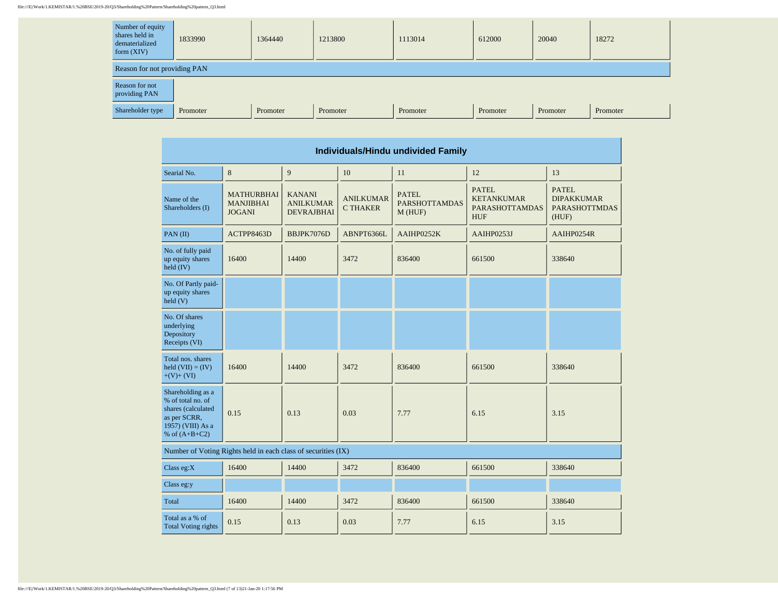| Number of equity<br>shares held in<br>dematerialized<br>form (XIV) | 1833990  | 1364440  | 1213800  | 1113014  | 612000   | 20040    | 18272    |  |  |  |  |
|--------------------------------------------------------------------|----------|----------|----------|----------|----------|----------|----------|--|--|--|--|
| Reason for not providing PAN                                       |          |          |          |          |          |          |          |  |  |  |  |
| Reason for not<br>providing PAN                                    |          |          |          |          |          |          |          |  |  |  |  |
| Shareholder type                                                   | Promoter | Promoter | Promoter | Promoter | Promoter | Promoter | Promoter |  |  |  |  |

 $\overline{\phantom{a}}$ 

| Individuals/Hindu undivided Family                                                                                   |                                                        |                                                        |                                     |                                                |                                                                          |                                                                    |  |  |  |  |
|----------------------------------------------------------------------------------------------------------------------|--------------------------------------------------------|--------------------------------------------------------|-------------------------------------|------------------------------------------------|--------------------------------------------------------------------------|--------------------------------------------------------------------|--|--|--|--|
| Searial No.                                                                                                          | 8                                                      | 9                                                      | 10                                  | 11                                             | 12                                                                       | 13                                                                 |  |  |  |  |
| Name of the<br>Shareholders (I)                                                                                      | <b>MATHURBHAI</b><br><b>MANJIBHAI</b><br><b>JOGANI</b> | <b>KANANI</b><br><b>ANILKUMAR</b><br><b>DEVRAJBHAI</b> | <b>ANILKUMAR</b><br><b>C THAKER</b> | <b>PATEL</b><br><b>PARSHOTTAMDAS</b><br>M(HUF) | <b>PATEL</b><br><b>KETANKUMAR</b><br><b>PARASHOTTAMDAS</b><br><b>HUF</b> | <b>PATEL</b><br><b>DIPAKKUMAR</b><br><b>PARASHOTTMDAS</b><br>(HUF) |  |  |  |  |
| PAN(II)                                                                                                              | ACTPP8463D                                             | BBJPK7076D                                             | ABNPT6366L                          | AAIHP0252K                                     | AAIHP0253J                                                               | AAIHP0254R                                                         |  |  |  |  |
| No. of fully paid<br>up equity shares<br>held (IV)                                                                   | 16400                                                  | 14400                                                  | 3472                                | 836400                                         | 661500                                                                   | 338640                                                             |  |  |  |  |
| No. Of Partly paid-<br>up equity shares<br>held(V)                                                                   |                                                        |                                                        |                                     |                                                |                                                                          |                                                                    |  |  |  |  |
| No. Of shares<br>underlying<br>Depository<br>Receipts (VI)                                                           |                                                        |                                                        |                                     |                                                |                                                                          |                                                                    |  |  |  |  |
| Total nos, shares<br>held $(VII) = (IV)$<br>$+(V)+(VI)$                                                              | 16400                                                  | 14400                                                  | 3472                                | 836400                                         | 661500                                                                   | 338640                                                             |  |  |  |  |
| Shareholding as a<br>% of total no. of<br>shares (calculated<br>as per SCRR,<br>1957) (VIII) As a<br>% of $(A+B+C2)$ | 0.15                                                   | 0.13                                                   | 0.03                                | 7.77                                           | 6.15                                                                     | 3.15                                                               |  |  |  |  |
| Number of Voting Rights held in each class of securities (IX)                                                        |                                                        |                                                        |                                     |                                                |                                                                          |                                                                    |  |  |  |  |
| Class eg: $X$                                                                                                        | 16400                                                  | 14400                                                  | 3472                                | 836400                                         | 661500                                                                   | 338640                                                             |  |  |  |  |
| Class eg:y                                                                                                           |                                                        |                                                        |                                     |                                                |                                                                          |                                                                    |  |  |  |  |
| Total                                                                                                                | 16400                                                  | 14400                                                  | 3472                                | 836400                                         | 661500                                                                   | 338640                                                             |  |  |  |  |
| Total as a % of<br><b>Total Voting rights</b>                                                                        | 0.15                                                   | 0.13                                                   | 0.03                                | 7.77                                           | 6.15                                                                     | 3.15                                                               |  |  |  |  |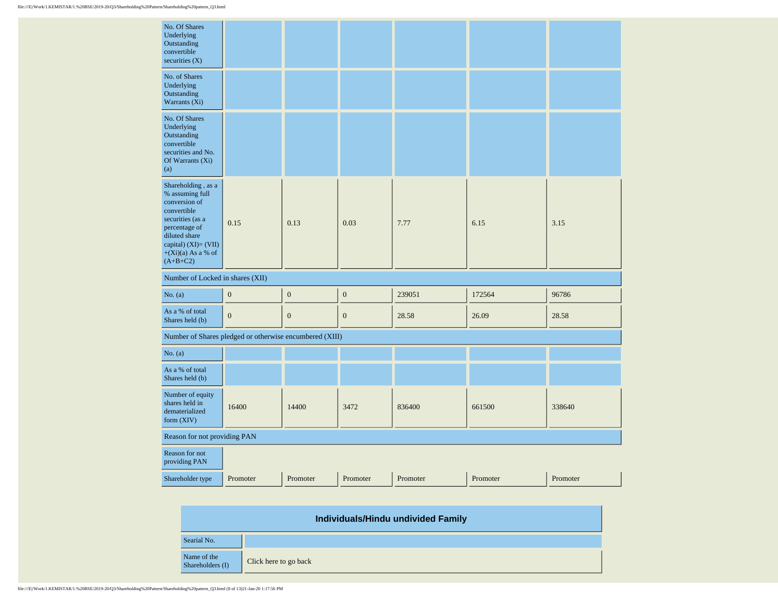| No. Of Shares<br>Underlying<br>Outstanding<br>convertible<br>securities $(X)$                                                                                                                |                  |                  |                  |          |          |          |  |  |
|----------------------------------------------------------------------------------------------------------------------------------------------------------------------------------------------|------------------|------------------|------------------|----------|----------|----------|--|--|
| No. of Shares<br>Underlying<br>Outstanding<br>Warrants (Xi)                                                                                                                                  |                  |                  |                  |          |          |          |  |  |
| No. Of Shares<br>Underlying<br>Outstanding<br>convertible<br>securities and No.<br>Of Warrants (Xi)<br>(a)                                                                                   |                  |                  |                  |          |          |          |  |  |
| Shareholding, as a<br>% assuming full<br>conversion of<br>convertible<br>securities (as a<br>percentage of<br>diluted share<br>capital) $(XI) = (VII)$<br>$+(Xi)(a)$ As a % of<br>$(A+B+C2)$ | 0.15             | 0.13             | 0.03             | 7.77     | 6.15     | 3.15     |  |  |
| Number of Locked in shares (XII)                                                                                                                                                             |                  |                  |                  |          |          |          |  |  |
| No. (a)                                                                                                                                                                                      | $\boldsymbol{0}$ | $\boldsymbol{0}$ | $\boldsymbol{0}$ | 239051   | 172564   | 96786    |  |  |
| As a % of total<br>Shares held (b)                                                                                                                                                           | $\mathbf{0}$     | $\boldsymbol{0}$ | $\mathbf{0}$     | 28.58    | 26.09    | 28.58    |  |  |
| Number of Shares pledged or otherwise encumbered (XIII)                                                                                                                                      |                  |                  |                  |          |          |          |  |  |
| No. (a)                                                                                                                                                                                      |                  |                  |                  |          |          |          |  |  |
| As a % of total<br>Shares held (b)                                                                                                                                                           |                  |                  |                  |          |          |          |  |  |
| Number of equity<br>shares held in<br>dematerialized<br>form (XIV)                                                                                                                           | 16400<br>14400   |                  | 3472             | 836400   | 661500   | 338640   |  |  |
| Reason for not providing PAN                                                                                                                                                                 |                  |                  |                  |          |          |          |  |  |
| Reason for not<br>providing PAN                                                                                                                                                              |                  |                  |                  |          |          |          |  |  |
| Shareholder type                                                                                                                                                                             | Promoter         | Promoter         | Promoter         | Promoter | Promoter | Promoter |  |  |

| Individuals/Hindu undivided Family |                       |  |  |  |  |  |  |
|------------------------------------|-----------------------|--|--|--|--|--|--|
| Searial No.                        |                       |  |  |  |  |  |  |
| Name of the<br>Shareholders (I)    | Click here to go back |  |  |  |  |  |  |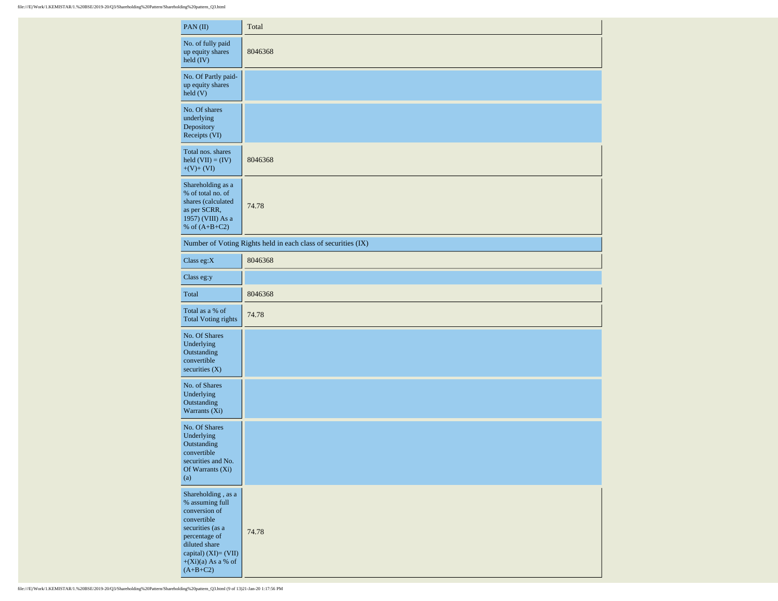| PAN(II)                                                                                                                                                                                       | Total                                                         |
|-----------------------------------------------------------------------------------------------------------------------------------------------------------------------------------------------|---------------------------------------------------------------|
| No. of fully paid<br>up equity shares<br>held (IV)                                                                                                                                            | 8046368                                                       |
| No. Of Partly paid-<br>up equity shares<br>held(V)                                                                                                                                            |                                                               |
| No. Of shares<br>underlying<br>Depository<br>Receipts (VI)                                                                                                                                    |                                                               |
| Total nos. shares<br>held $(VII) = (IV)$<br>$+(V)+(VI)$                                                                                                                                       | 8046368                                                       |
| Shareholding as a<br>% of total no. of<br>shares (calculated<br>as per SCRR,<br>1957) (VIII) As a<br>% of $(A+B+C2)$                                                                          | 74.78                                                         |
|                                                                                                                                                                                               | Number of Voting Rights held in each class of securities (IX) |
| Class eg: $X$                                                                                                                                                                                 | 8046368                                                       |
| Class eg:y                                                                                                                                                                                    |                                                               |
| Total                                                                                                                                                                                         | 8046368                                                       |
| Total as a % of<br><b>Total Voting rights</b>                                                                                                                                                 | 74.78                                                         |
| No. Of Shares<br>Underlying<br>Outstanding<br>convertible<br>securities (X)                                                                                                                   |                                                               |
| No. of Shares<br>Underlying<br>Outstanding<br>Warrants (Xi)                                                                                                                                   |                                                               |
| No. Of Shares<br>Underlying<br>Outstanding<br>convertible<br>securities and No.<br>Of Warrants (Xi)<br>(a)                                                                                    |                                                               |
| Shareholding , as a<br>$\%$ assuming full<br>conversion of<br>convertible<br>securities (as a<br>percentage of<br>diluted share<br>capital) (XI)= (VII)<br>$+(Xi)(a)$ As a % of<br>$(A+B+C2)$ | 74.78                                                         |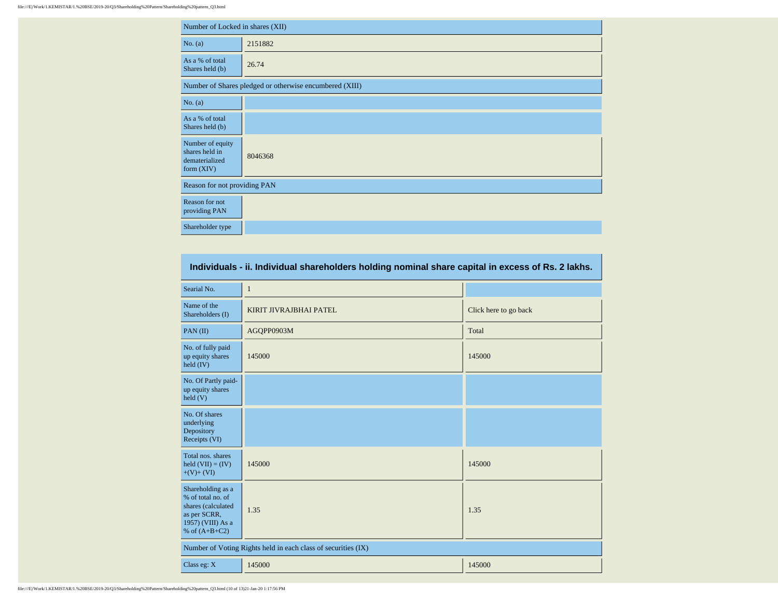|                                                                      | Number of Locked in shares (XII) |  |  |  |  |  |  |  |  |
|----------------------------------------------------------------------|----------------------------------|--|--|--|--|--|--|--|--|
| No. (a)                                                              | 2151882                          |  |  |  |  |  |  |  |  |
| As a % of total<br>Shares held (b)                                   | 26.74                            |  |  |  |  |  |  |  |  |
| Number of Shares pledged or otherwise encumbered (XIII)              |                                  |  |  |  |  |  |  |  |  |
| No. (a)                                                              |                                  |  |  |  |  |  |  |  |  |
| As a % of total<br>Shares held (b)                                   |                                  |  |  |  |  |  |  |  |  |
| Number of equity<br>shares held in<br>dematerialized<br>form $(XIV)$ | 8046368                          |  |  |  |  |  |  |  |  |
| Reason for not providing PAN                                         |                                  |  |  |  |  |  |  |  |  |
| Reason for not<br>providing PAN                                      |                                  |  |  |  |  |  |  |  |  |
| Shareholder type                                                     |                                  |  |  |  |  |  |  |  |  |

| Individuals - ii. Individual shareholders holding nominal share capital in excess of Rs. 2 lakhs.                    |                                                               |                       |  |  |  |  |  |  |  |  |
|----------------------------------------------------------------------------------------------------------------------|---------------------------------------------------------------|-----------------------|--|--|--|--|--|--|--|--|
| Searial No.                                                                                                          | $\mathbf{1}$                                                  |                       |  |  |  |  |  |  |  |  |
| Name of the<br>Shareholders (I)                                                                                      | KIRIT JIVRAJBHAI PATEL                                        | Click here to go back |  |  |  |  |  |  |  |  |
| PAN(II)                                                                                                              | AGQPP0903M                                                    | Total                 |  |  |  |  |  |  |  |  |
| No. of fully paid<br>up equity shares<br>held $(IV)$                                                                 | 145000                                                        | 145000                |  |  |  |  |  |  |  |  |
| No. Of Partly paid-<br>up equity shares<br>$\text{held}$ (V)                                                         |                                                               |                       |  |  |  |  |  |  |  |  |
| No. Of shares<br>underlying<br>Depository<br>Receipts (VI)                                                           |                                                               |                       |  |  |  |  |  |  |  |  |
| Total nos. shares<br>held $(VII) = (IV)$<br>$+(V)+(VI)$                                                              | 145000                                                        | 145000                |  |  |  |  |  |  |  |  |
| Shareholding as a<br>% of total no. of<br>shares (calculated<br>as per SCRR,<br>1957) (VIII) As a<br>% of $(A+B+C2)$ | 1.35                                                          | 1.35                  |  |  |  |  |  |  |  |  |
|                                                                                                                      | Number of Voting Rights held in each class of securities (IX) |                       |  |  |  |  |  |  |  |  |
| Class eg: $X$                                                                                                        | 145000                                                        | 145000                |  |  |  |  |  |  |  |  |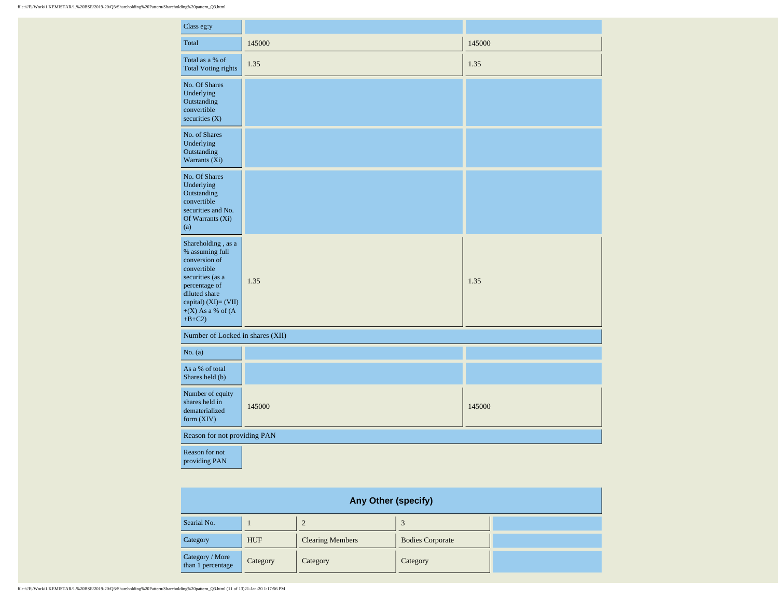| Class eg:y                                                                                                                                                                             |        |        |
|----------------------------------------------------------------------------------------------------------------------------------------------------------------------------------------|--------|--------|
| Total                                                                                                                                                                                  | 145000 | 145000 |
| Total as a % of<br><b>Total Voting rights</b>                                                                                                                                          | 1.35   | 1.35   |
| No. Of Shares<br>Underlying<br>Outstanding<br>convertible<br>securities $(X)$                                                                                                          |        |        |
| No. of Shares<br>Underlying<br>Outstanding<br>Warrants (Xi)                                                                                                                            |        |        |
| No. Of Shares<br>Underlying<br>Outstanding<br>convertible<br>securities and No.<br>Of Warrants (Xi)<br>(a)                                                                             |        |        |
| Shareholding , as a<br>% assuming full<br>conversion of<br>convertible<br>securities (as a<br>percentage of<br>diluted share<br>capital) (XI)= (VII)<br>$+(X)$ As a % of (A<br>$+B+C2$ | 1.35   | 1.35   |
| Number of Locked in shares (XII)                                                                                                                                                       |        |        |
| No. (a)                                                                                                                                                                                |        |        |
| As a % of total<br>Shares held (b)                                                                                                                                                     |        |        |
| Number of equity<br>shares held in<br>dematerialized<br>form (XIV)                                                                                                                     | 145000 | 145000 |
| Reason for not providing PAN                                                                                                                                                           |        |        |
| Reason for not<br>providing PAN                                                                                                                                                        |        |        |

| <b>Any Other (specify)</b>           |            |                         |                         |  |  |  |  |  |  |  |
|--------------------------------------|------------|-------------------------|-------------------------|--|--|--|--|--|--|--|
| Searial No.                          |            |                         |                         |  |  |  |  |  |  |  |
| Category                             | <b>HUF</b> | <b>Clearing Members</b> | <b>Bodies Corporate</b> |  |  |  |  |  |  |  |
| Category / More<br>than 1 percentage | Category   | Category                | Category                |  |  |  |  |  |  |  |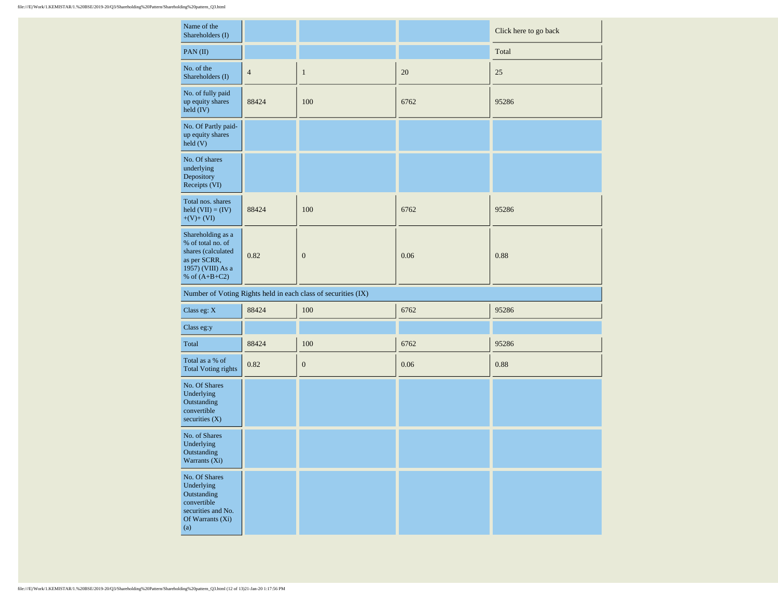| Name of the<br>Shareholders (I)                                                                                      |                |                                                               |      | Click here to go back |
|----------------------------------------------------------------------------------------------------------------------|----------------|---------------------------------------------------------------|------|-----------------------|
| PAN(II)                                                                                                              |                |                                                               |      | Total                 |
| No. of the<br>Shareholders (I)                                                                                       | $\overline{4}$ | $\mathbf{1}$                                                  | 20   | 25                    |
| No. of fully paid<br>up equity shares<br>$\text{held (IV)}$                                                          | 88424          | 100                                                           | 6762 | 95286                 |
| No. Of Partly paid-<br>up equity shares<br>held(V)                                                                   |                |                                                               |      |                       |
| No. Of shares<br>underlying<br>Depository<br>Receipts (VI)                                                           |                |                                                               |      |                       |
| Total nos. shares<br>held $(VII) = (IV)$<br>$+(V)+(VI)$                                                              | 88424          | 100                                                           | 6762 | 95286                 |
| Shareholding as a<br>% of total no. of<br>shares (calculated<br>as per SCRR,<br>1957) (VIII) As a<br>% of $(A+B+C2)$ | 0.82           | $\boldsymbol{0}$                                              | 0.06 | 0.88                  |
|                                                                                                                      |                | Number of Voting Rights held in each class of securities (IX) |      |                       |
| Class eg: $\mathbf{X}$                                                                                               | 88424          | 100                                                           | 6762 | 95286                 |
| Class eg:y                                                                                                           |                |                                                               |      |                       |
| Total                                                                                                                | 88424          | 100                                                           | 6762 | 95286                 |
| Total as a % of<br><b>Total Voting rights</b>                                                                        | 0.82           | $\boldsymbol{0}$                                              | 0.06 | 0.88                  |
| No. Of Shares<br>Underlying<br>Outstanding<br>convertible<br>securities $(X)$                                        |                |                                                               |      |                       |
| No. of Shares<br>Underlying<br>Outstanding<br>Warrants $(X_1)$                                                       |                |                                                               |      |                       |
| No. Of Shares<br>Underlying<br>Outstanding<br>convertible<br>securities and No.<br>Of Warrants (Xi)<br>(a)           |                |                                                               |      |                       |